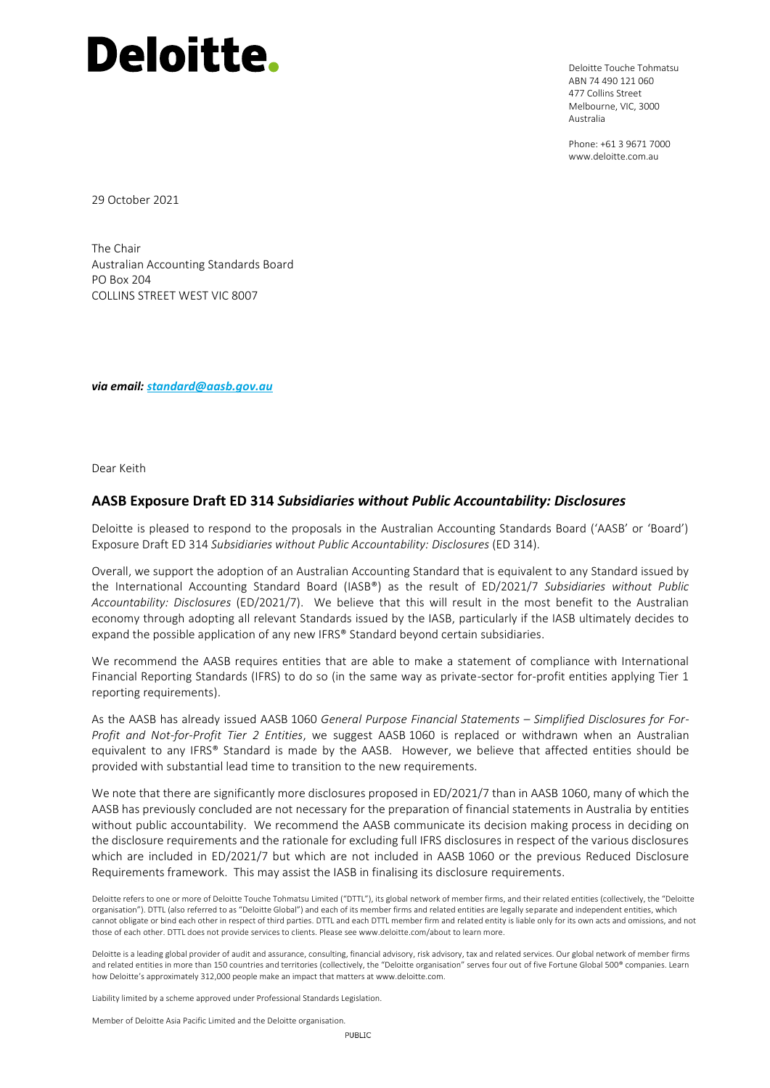Deloitte Touche Tohmatsu ABN 74 490 121 060 477 Collins Street Melbourne, VIC, 3000 Australia

Phone: +61 3 9671 7000 www.deloitte.com.au

29 October 2021

The Chair Australian Accounting Standards Board PO Box 204 COLLINS STREET WEST VIC 8007

*via email: [standard@aasb.gov.au](mailto:standard@aasb.gov.au)*

Dear Keith

### **AASB Exposure Draft ED 314** *Subsidiaries without Public Accountability: Disclosures*

Deloitte is pleased to respond to the proposals in the Australian Accounting Standards Board ('AASB' or 'Board') Exposure Draft ED 314 *Subsidiaries without Public Accountability: Disclosures* (ED 314).

Overall, we support the adoption of an Australian Accounting Standard that is equivalent to any Standard issued by the International Accounting Standard Board (IASB®) as the result of ED/2021/7 *Subsidiaries without Public Accountability: Disclosures* (ED/2021/7). We believe that this will result in the most benefit to the Australian economy through adopting all relevant Standards issued by the IASB, particularly if the IASB ultimately decides to expand the possible application of any new IFRS® Standard beyond certain subsidiaries.

We recommend the AASB requires entities that are able to make a statement of compliance with International Financial Reporting Standards (IFRS) to do so (in the same way as private-sector for-profit entities applying Tier 1 reporting requirements).

As the AASB has already issued AASB 1060 *General Purpose Financial Statements – Simplified Disclosures for For-Profit and Not-for-Profit Tier 2 Entities*, we suggest AASB 1060 is replaced or withdrawn when an Australian equivalent to any IFRS® Standard is made by the AASB. However, we believe that affected entities should be provided with substantial lead time to transition to the new requirements.

We note that there are significantly more disclosures proposed in ED/2021/7 than in AASB 1060, many of which the AASB has previously concluded are not necessary for the preparation of financial statements in Australia by entities without public accountability. We recommend the AASB communicate its decision making process in deciding on the disclosure requirements and the rationale for excluding full IFRS disclosures in respect of the various disclosures which are included in ED/2021/7 but which are not included in AASB 1060 or the previous Reduced Disclosure Requirements framework. This may assist the IASB in finalising its disclosure requirements.

Deloitte refers to one or more of Deloitte Touche Tohmatsu Limited ("DTTL"), its global network of member firms, and their related entities (collectively, the "Deloitte organisation"). DTTL (also referred to as "Deloitte Global") and each of its member firms and related entities are legally separate and independent entities, which cannot obligate or bind each other in respect of third parties. DTTL and each DTTL member firm and related entity is liable only for its own acts and omissions, and not those of each other. DTTL does not provide services to clients. Please see www.deloitte.com/about to learn more.

Deloitte is a leading global provider of audit and assurance, consulting, financial advisory, risk advisory, tax and related services. Our global network of member firms and related entities in more than 150 countries and territories (collectively, the "Deloitte organisation" serves four out of five Fortune Global 500® companies. Learn how Deloitte's approximately 312,000 people make an impact that matters at www.deloitte.com.

Liability limited by a scheme approved under Professional Standards Legislation.

Member of Deloitte Asia Pacific Limited and the Deloitte organisation.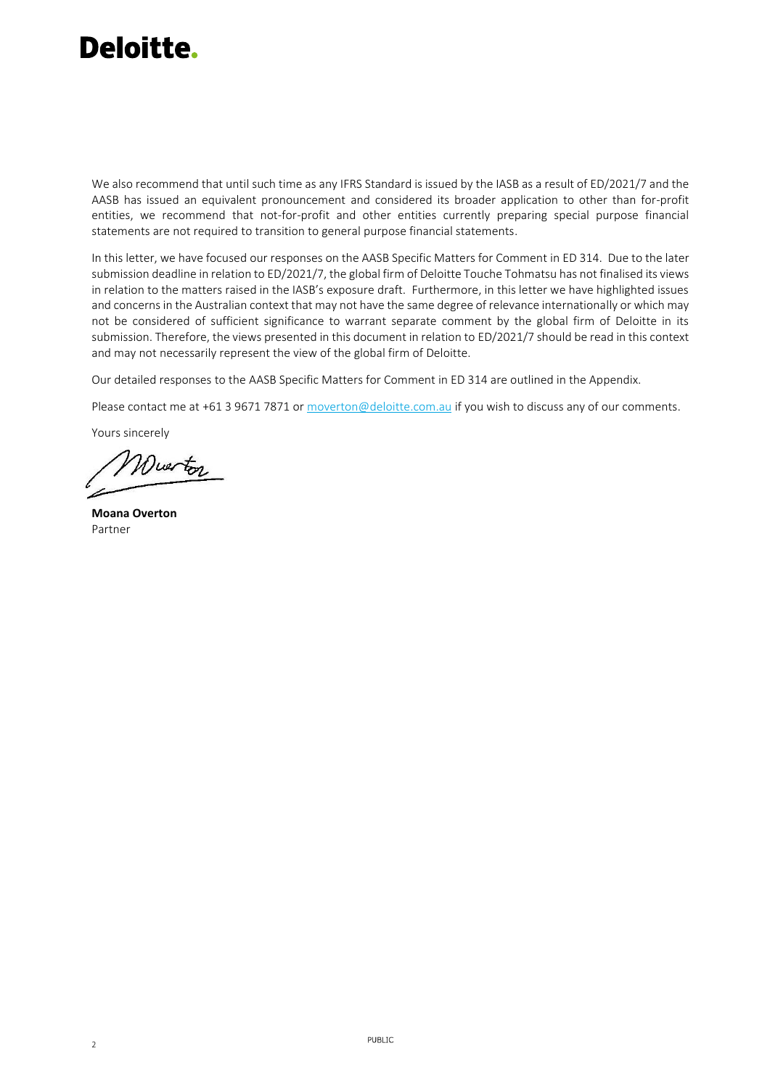We also recommend that until such time as any IFRS Standard is issued by the IASB as a result of ED/2021/7 and the AASB has issued an equivalent pronouncement and considered its broader application to other than for-profit entities, we recommend that not-for-profit and other entities currently preparing special purpose financial statements are not required to transition to general purpose financial statements.

In this letter, we have focused our responses on the AASB Specific Matters for Comment in ED 314. Due to the later submission deadline in relation to ED/2021/7, the global firm of Deloitte Touche Tohmatsu has not finalised its views in relation to the matters raised in the IASB's exposure draft. Furthermore, in this letter we have highlighted issues and concerns in the Australian context that may not have the same degree of relevance internationally or which may not be considered of sufficient significance to warrant separate comment by the global firm of Deloitte in its submission. Therefore, the views presented in this document in relation to ED/2021/7 should be read in this context and may not necessarily represent the view of the global firm of Deloitte.

Our detailed responses to the AASB Specific Matters for Comment in ED 314 are outlined in the Appendix.

Please contact me at +61 3 9671 7871 o[r moverton@deloitte.com.au](mailto:moverton@deloitte.com.au) if you wish to discuss any of our comments.

Yours sincerely

Wuerton

**Moana Overton** Partner

2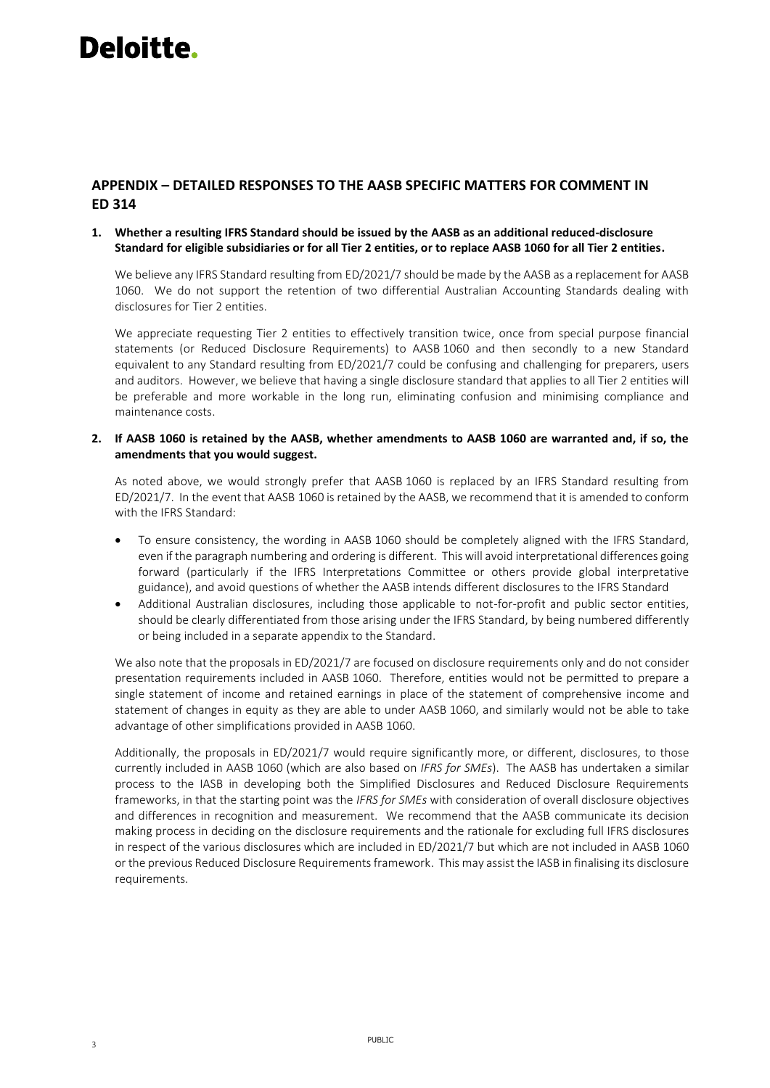### **APPENDIX – DETAILED RESPONSES TO THE AASB SPECIFIC MATTERS FOR COMMENT IN ED 314**

### **1. Whether a resulting IFRS Standard should be issued by the AASB as an additional reduced-disclosure Standard for eligible subsidiaries or for all Tier 2 entities, or to replace AASB 1060 for all Tier 2 entities.**

We believe any IFRS Standard resulting from ED/2021/7 should be made by the AASB as a replacement for AASB 1060. We do not support the retention of two differential Australian Accounting Standards dealing with disclosures for Tier 2 entities.

We appreciate requesting Tier 2 entities to effectively transition twice, once from special purpose financial statements (or Reduced Disclosure Requirements) to AASB 1060 and then secondly to a new Standard equivalent to any Standard resulting from ED/2021/7 could be confusing and challenging for preparers, users and auditors. However, we believe that having a single disclosure standard that applies to all Tier 2 entities will be preferable and more workable in the long run, eliminating confusion and minimising compliance and maintenance costs.

### **2. If AASB 1060 is retained by the AASB, whether amendments to AASB 1060 are warranted and, if so, the amendments that you would suggest.**

As noted above, we would strongly prefer that AASB 1060 is replaced by an IFRS Standard resulting from ED/2021/7. In the event that AASB 1060 is retained by the AASB, we recommend that it is amended to conform with the IFRS Standard:

- To ensure consistency, the wording in AASB 1060 should be completely aligned with the IFRS Standard, even if the paragraph numbering and ordering is different. This will avoid interpretational differences going forward (particularly if the IFRS Interpretations Committee or others provide global interpretative guidance), and avoid questions of whether the AASB intends different disclosures to the IFRS Standard
- Additional Australian disclosures, including those applicable to not-for-profit and public sector entities, should be clearly differentiated from those arising under the IFRS Standard, by being numbered differently or being included in a separate appendix to the Standard.

We also note that the proposals in ED/2021/7 are focused on disclosure requirements only and do not consider presentation requirements included in AASB 1060. Therefore, entities would not be permitted to prepare a single statement of income and retained earnings in place of the statement of comprehensive income and statement of changes in equity as they are able to under AASB 1060, and similarly would not be able to take advantage of other simplifications provided in AASB 1060.

Additionally, the proposals in ED/2021/7 would require significantly more, or different, disclosures, to those currently included in AASB 1060 (which are also based on *IFRS for SMEs*). The AASB has undertaken a similar process to the IASB in developing both the Simplified Disclosures and Reduced Disclosure Requirements frameworks, in that the starting point was the *IFRS for SMEs* with consideration of overall disclosure objectives and differences in recognition and measurement. We recommend that the AASB communicate its decision making process in deciding on the disclosure requirements and the rationale for excluding full IFRS disclosures in respect of the various disclosures which are included in ED/2021/7 but which are not included in AASB 1060 or the previous Reduced Disclosure Requirements framework. This may assist the IASB in finalising its disclosure requirements.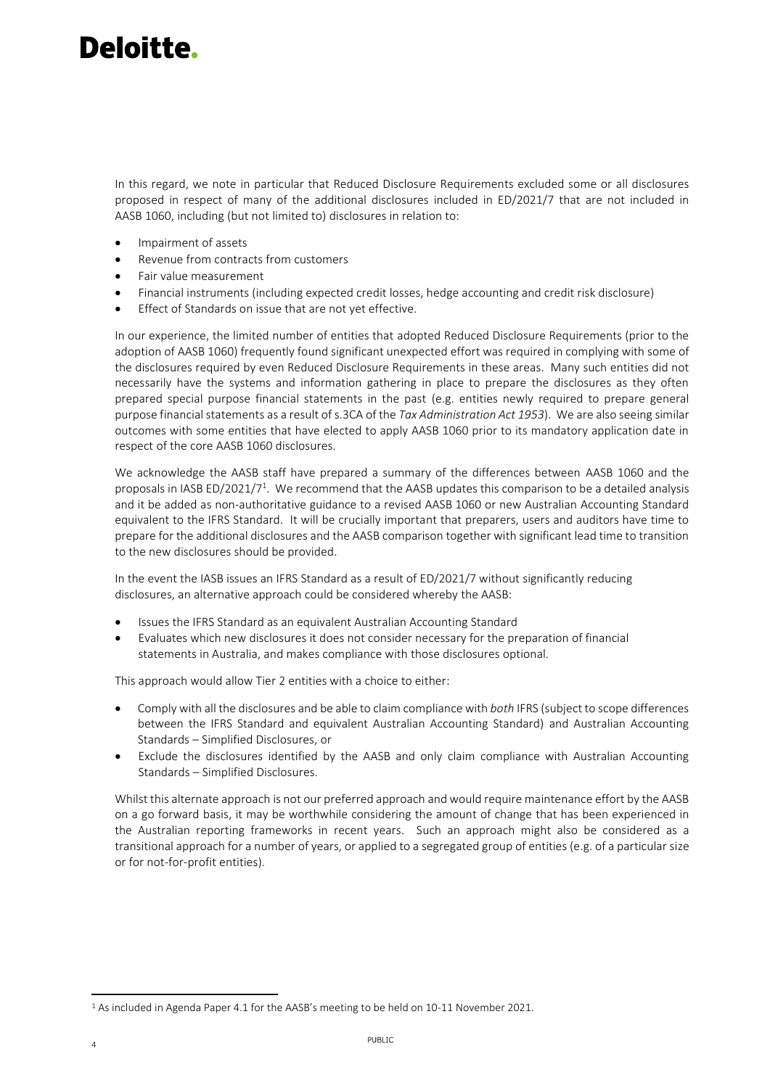In this regard, we note in particular that Reduced Disclosure Requirements excluded some or all disclosures proposed in respect of many of the additional disclosures included in ED/2021/7 that are not included in AASB 1060, including (but not limited to) disclosures in relation to:

- Impairment of assets
- Revenue from contracts from customers
- Fair value measurement
- Financial instruments (including expected credit losses, hedge accounting and credit risk disclosure)
- Effect of Standards on issue that are not yet effective.

In our experience, the limited number of entities that adopted Reduced Disclosure Requirements (prior to the adoption of AASB 1060) frequently found significant unexpected effort was required in complying with some of the disclosures required by even Reduced Disclosure Requirements in these areas. Many such entities did not necessarily have the systems and information gathering in place to prepare the disclosures as they often prepared special purpose financial statements in the past (e.g. entities newly required to prepare general purpose financial statements as a result of s.3CA of the *Tax Administration Act 1953*). We are also seeing similar outcomes with some entities that have elected to apply AASB 1060 prior to its mandatory application date in respect of the core AASB 1060 disclosures.

We acknowledge the AASB staff have prepared a summary of the differences between AASB 1060 and the proposals in IASB ED/2021/7<sup>1</sup>. We recommend that the AASB updates this comparison to be a detailed analysis and it be added as non-authoritative guidance to a revised AASB 1060 or new Australian Accounting Standard equivalent to the IFRS Standard. It will be crucially important that preparers, users and auditors have time to prepare for the additional disclosures and the AASB comparison together with significant lead time to transition to the new disclosures should be provided.

In the event the IASB issues an IFRS Standard as a result of ED/2021/7 without significantly reducing disclosures, an alternative approach could be considered whereby the AASB:

- Issues the IFRS Standard as an equivalent Australian Accounting Standard
- Evaluates which new disclosures it does not consider necessary for the preparation of financial statements in Australia, and makes compliance with those disclosures optional.

This approach would allow Tier 2 entities with a choice to either:

- Comply with all the disclosures and be able to claim compliance with *both* IFRS (subject to scope differences between the IFRS Standard and equivalent Australian Accounting Standard) and Australian Accounting Standards – Simplified Disclosures, or
- Exclude the disclosures identified by the AASB and only claim compliance with Australian Accounting Standards – Simplified Disclosures.

Whilst this alternate approach is not our preferred approach and would require maintenance effort by the AASB on a go forward basis, it may be worthwhile considering the amount of change that has been experienced in the Australian reporting frameworks in recent years. Such an approach might also be considered as a transitional approach for a number of years, or applied to a segregated group of entities (e.g. of a particular size or for not-for-profit entities).

<sup>1</sup> As included in Agenda Paper 4.1 for the AASB's meeting to be held on 10-11 November 2021.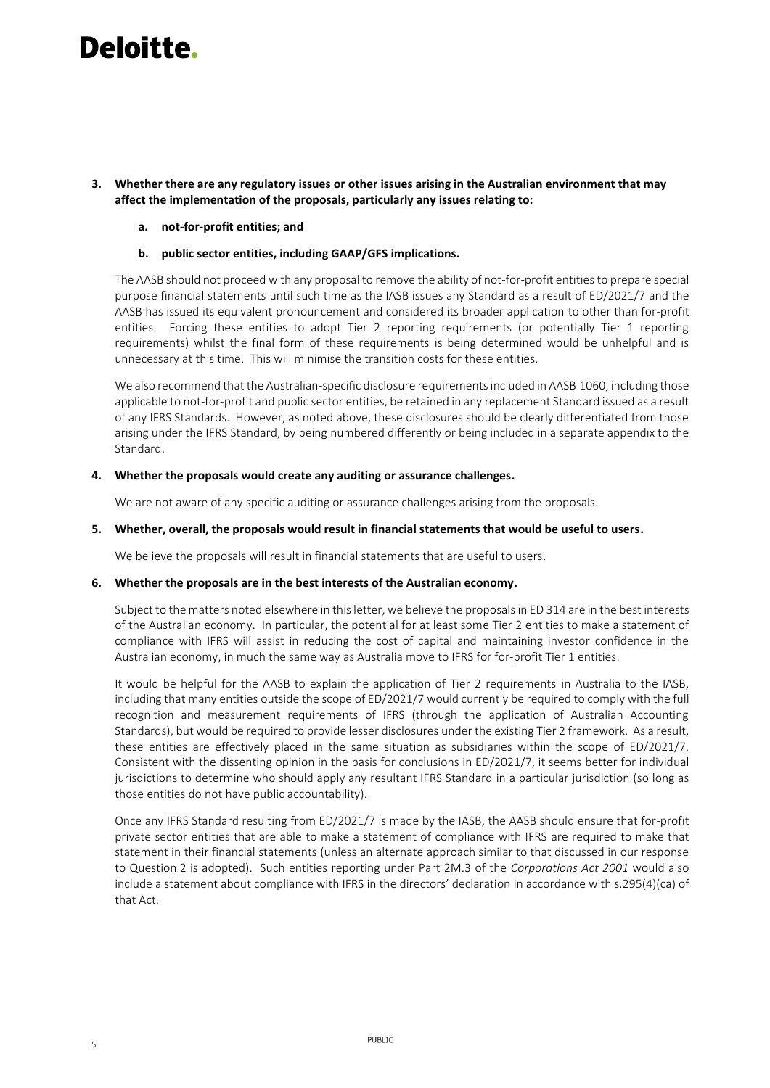**3. Whether there are any regulatory issues or other issues arising in the Australian environment that may affect the implementation of the proposals, particularly any issues relating to:** 

#### **a. not-for-profit entities; and**

**b. public sector entities, including GAAP/GFS implications.**

The AASB should not proceed with any proposal to remove the ability of not-for-profit entities to prepare special purpose financial statements until such time as the IASB issues any Standard as a result of ED/2021/7 and the AASB has issued its equivalent pronouncement and considered its broader application to other than for-profit entities. Forcing these entities to adopt Tier 2 reporting requirements (or potentially Tier 1 reporting requirements) whilst the final form of these requirements is being determined would be unhelpful and is unnecessary at this time. This will minimise the transition costs for these entities.

We also recommend that the Australian-specific disclosure requirements included in AASB 1060, including those applicable to not-for-profit and public sector entities, be retained in any replacement Standard issued as a result of any IFRS Standards. However, as noted above, these disclosures should be clearly differentiated from those arising under the IFRS Standard, by being numbered differently or being included in a separate appendix to the Standard.

#### **4. Whether the proposals would create any auditing or assurance challenges.**

We are not aware of any specific auditing or assurance challenges arising from the proposals.

#### **5. Whether, overall, the proposals would result in financial statements that would be useful to users.**

We believe the proposals will result in financial statements that are useful to users.

### **6. Whether the proposals are in the best interests of the Australian economy.**

Subject to the matters noted elsewhere in this letter, we believe the proposals in ED 314 are in the best interests of the Australian economy. In particular, the potential for at least some Tier 2 entities to make a statement of compliance with IFRS will assist in reducing the cost of capital and maintaining investor confidence in the Australian economy, in much the same way as Australia move to IFRS for for-profit Tier 1 entities.

It would be helpful for the AASB to explain the application of Tier 2 requirements in Australia to the IASB, including that many entities outside the scope of ED/2021/7 would currently be required to comply with the full recognition and measurement requirements of IFRS (through the application of Australian Accounting Standards), but would be required to provide lesser disclosures under the existing Tier 2 framework. As a result, these entities are effectively placed in the same situation as subsidiaries within the scope of ED/2021/7. Consistent with the dissenting opinion in the basis for conclusions in ED/2021/7, it seems better for individual jurisdictions to determine who should apply any resultant IFRS Standard in a particular jurisdiction (so long as those entities do not have public accountability).

Once any IFRS Standard resulting from ED/2021/7 is made by the IASB, the AASB should ensure that for-profit private sector entities that are able to make a statement of compliance with IFRS are required to make that statement in their financial statements (unless an alternate approach similar to that discussed in our response to Question 2 is adopted). Such entities reporting under Part 2M.3 of the *Corporations Act 2001* would also include a statement about compliance with IFRS in the directors' declaration in accordance with s.295(4)(ca) of that Act.